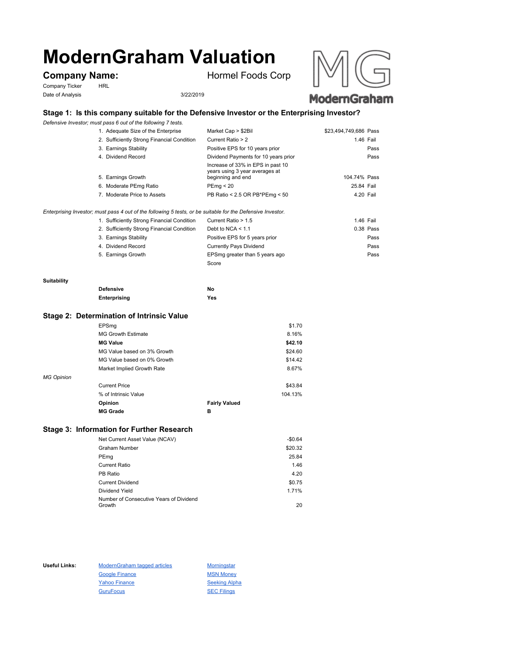# **ModernGraham Valuation**

Company Ticker HRL Date of Analysis 3/22/2019

**Company Name:** Hormel Foods Corp





# **Stage 1: Is this company suitable for the Defensive Investor or the Enterprising Investor?**

*Defensive Investor; must pass 6 out of the following 7 tests.*

| 1. Adequate Size of the Enterprise         | Market Cap > \$2Bil                                                                      | \$23,494,749,686 Pass |      |
|--------------------------------------------|------------------------------------------------------------------------------------------|-----------------------|------|
| 2. Sufficiently Strong Financial Condition | Current Ratio > 2                                                                        | 1.46 Fail             |      |
| 3. Earnings Stability                      | Positive EPS for 10 years prior                                                          |                       | Pass |
| 4. Dividend Record                         | Dividend Payments for 10 years prior                                                     |                       | Pass |
| 5. Earnings Growth                         | Increase of 33% in EPS in past 10<br>years using 3 year averages at<br>beginning and end | 104.74% Pass          |      |
| 6. Moderate PEmg Ratio                     | PEmq < 20                                                                                | 25.84 Fail            |      |
| 7. Moderate Price to Assets                | PB Ratio < 2.5 OR PB*PEmg < 50                                                           | 4.20 Fail             |      |

*Enterprising Investor; must pass 4 out of the following 5 tests, or be suitable for the Defensive Investor.*

| 1. Sufficiently Strong Financial Condition | Current Ratio > 1.5            | 1.46 Fail |
|--------------------------------------------|--------------------------------|-----------|
| 2. Sufficiently Strong Financial Condition | Debt to NCA $<$ 1.1            | 0.38 Pass |
| 3. Earnings Stability                      | Positive EPS for 5 years prior | Pass      |
| 4. Dividend Record                         | <b>Currently Pays Dividend</b> | Pass      |
| 5. Earnings Growth                         | EPSmg greater than 5 years ago | Pass      |
|                                            | Score                          |           |

#### **Suitability**

| <b>Defensive</b> | No  |
|------------------|-----|
| Enterprising     | Yes |

#### **Stage 2: Determination of Intrinsic Value**

|                   | EPSmg                       |                      | \$1.70  |
|-------------------|-----------------------------|----------------------|---------|
|                   | <b>MG Growth Estimate</b>   |                      | 8.16%   |
|                   | <b>MG Value</b>             |                      | \$42.10 |
|                   | MG Value based on 3% Growth |                      | \$24.60 |
|                   | MG Value based on 0% Growth |                      | \$14.42 |
|                   | Market Implied Growth Rate  |                      | 8.67%   |
| <b>MG Opinion</b> |                             |                      |         |
|                   | <b>Current Price</b>        |                      | \$43.84 |
|                   | % of Intrinsic Value        |                      | 104.13% |
|                   | Opinion                     | <b>Fairly Valued</b> |         |
|                   | <b>MG Grade</b>             | в                    |         |
|                   |                             |                      |         |

## **Stage 3: Information for Further Research**

| Net Current Asset Value (NCAV)          | $-$0.64$ |
|-----------------------------------------|----------|
| Graham Number                           | \$20.32  |
| PEmg                                    | 25.84    |
| Current Ratio                           | 1.46     |
| PB Ratio                                | 4.20     |
| <b>Current Dividend</b>                 | \$0.75   |
| Dividend Yield                          | 1.71%    |
| Number of Consecutive Years of Dividend |          |
| Growth                                  | 20       |

Useful Links: ModernGraham tagged articles Morningstar Google Finance MSN Money Yahoo Finance Seeking Alpha GuruFocus SEC Filings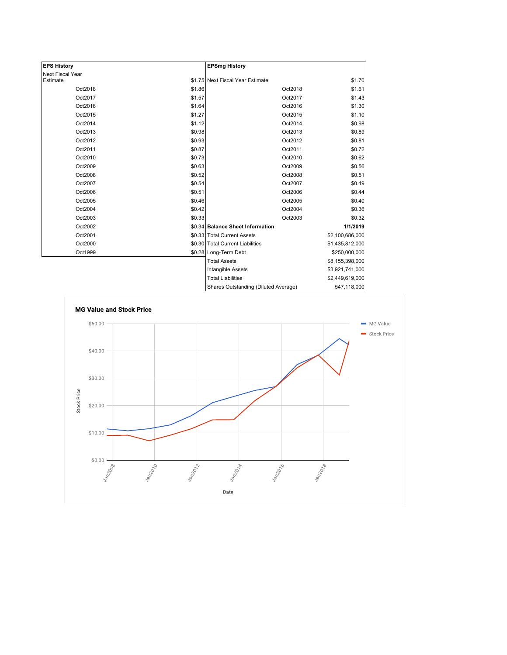| <b>EPS History</b> |        | <b>EPSmg History</b>                 |                 |
|--------------------|--------|--------------------------------------|-----------------|
| Next Fiscal Year   |        |                                      |                 |
| Estimate           |        | \$1.75 Next Fiscal Year Estimate     | \$1.70          |
| Oct2018            | \$1.86 | Oct2018                              | \$1.61          |
| Oct2017            | \$1.57 | Oct2017                              | \$1.43          |
| Oct2016            | \$1.64 | Oct2016                              | \$1.30          |
| Oct2015            | \$1.27 | Oct2015                              | \$1.10          |
| Oct2014            | \$1.12 | Oct2014                              | \$0.98          |
| Oct2013            | \$0.98 | Oct2013                              | \$0.89          |
| Oct2012            | \$0.93 | Oct2012                              | \$0.81          |
| Oct2011            | \$0.87 | Oct2011                              | \$0.72          |
| Oct2010            | \$0.73 | Oct2010                              | \$0.62          |
| Oct2009            | \$0.63 | Oct2009                              | \$0.56          |
| Oct2008            | \$0.52 | Oct2008                              | \$0.51          |
| Oct2007            | \$0.54 | Oct2007                              | \$0.49          |
| Oct2006            | \$0.51 | Oct2006                              | \$0.44          |
| Oct2005            | \$0.46 | Oct2005                              | \$0.40          |
| Oct2004            | \$0.42 | Oct2004                              | \$0.36          |
| Oct2003            | \$0.33 | Oct2003                              | \$0.32          |
| Oct2002            |        | \$0.34 Balance Sheet Information     | 1/1/2019        |
| Oct2001            |        | \$0.33 Total Current Assets          | \$2,100,686,000 |
| Oct2000            |        | \$0.30 Total Current Liabilities     | \$1,435,812,000 |
| Oct1999            |        | \$0.28 Long-Term Debt                | \$250,000,000   |
|                    |        | <b>Total Assets</b>                  | \$8,155,398,000 |
|                    |        | Intangible Assets                    | \$3,921,741,000 |
|                    |        | <b>Total Liabilities</b>             | \$2,449,619,000 |
|                    |        | Shares Outstanding (Diluted Average) | 547 118 000     |